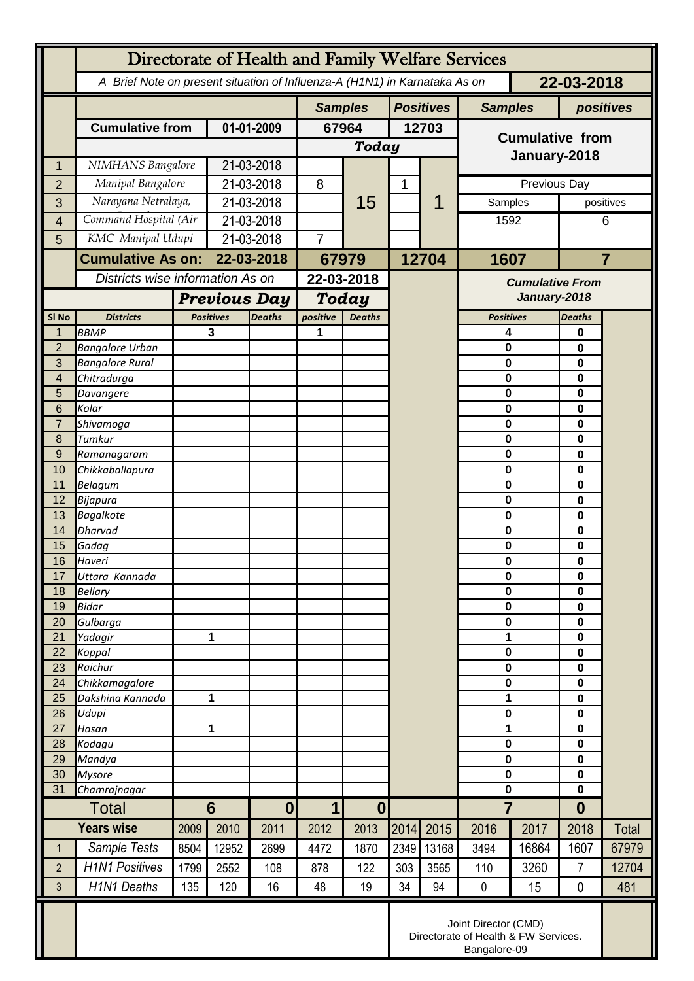|                  | Directorate of Health and Family Welfare Services                                        |                                                      |                            |                |                                 |                  |       |                |                            |       |                  |       |
|------------------|------------------------------------------------------------------------------------------|------------------------------------------------------|----------------------------|----------------|---------------------------------|------------------|-------|----------------|----------------------------|-------|------------------|-------|
|                  | 22-03-2018<br>A Brief Note on present situation of Influenza-A (H1N1) in Karnataka As on |                                                      |                            |                |                                 |                  |       |                |                            |       |                  |       |
|                  |                                                                                          |                                                      |                            | <b>Samples</b> |                                 | <b>Positives</b> |       | <b>Samples</b> | positives                  |       |                  |       |
|                  | <b>Cumulative from</b>                                                                   |                                                      | 01-01-2009                 |                | 67964                           |                  | 12703 |                |                            |       |                  |       |
|                  |                                                                                          |                                                      |                            |                | <b>Today</b>                    |                  |       |                | <b>Cumulative from</b>     |       |                  |       |
| 1                | NIMHANS Bangalore                                                                        |                                                      | 21-03-2018                 |                |                                 |                  |       |                | January-2018               |       |                  |       |
| $\overline{2}$   | Manipal Bangalore                                                                        |                                                      | 21-03-2018                 |                | 8                               | 15               | 1     |                | Previous Day               |       |                  |       |
| 3                | Narayana Netralaya,                                                                      |                                                      | 21-03-2018                 |                |                                 |                  |       |                | Samples                    |       | positives        |       |
| 4                | Command Hospital (Air                                                                    |                                                      | 21-03-2018                 |                |                                 |                  |       |                | 1592                       |       | 6                |       |
| 5                | KMC Manipal Udupi                                                                        |                                                      | 21-03-2018                 |                | $\overline{7}$                  |                  |       |                |                            |       |                  |       |
|                  | <b>Cumulative As on:</b><br>Districts wise information As on                             |                                                      | 22-03-2018                 |                | 67979                           |                  | 12704 |                | 1607                       |       | $\overline{7}$   |       |
|                  |                                                                                          |                                                      |                            |                | 22-03-2018                      |                  |       |                | <b>Cumulative From</b>     |       |                  |       |
|                  |                                                                                          |                                                      | <b>Previous Day</b>        |                | <b>Today</b>                    |                  |       |                | January-2018               |       |                  |       |
| SI <sub>No</sub> | <b>Districts</b>                                                                         |                                                      | <b>Positives</b>           |                | positive<br><b>Deaths</b>       |                  |       |                | <b>Positives</b>           |       | <b>Deaths</b>    |       |
| 1                | <b>BBMP</b>                                                                              |                                                      | 3                          | <b>Deaths</b>  | 1                               |                  |       |                | 4                          |       | 0                |       |
| $\overline{2}$   | <b>Bangalore Urban</b>                                                                   |                                                      |                            |                |                                 |                  |       |                | 0                          |       | 0                |       |
| 3                | <b>Bangalore Rural</b>                                                                   |                                                      |                            |                |                                 |                  |       |                | $\mathbf 0$                |       | $\mathbf 0$      |       |
| 4                | Chitradurga                                                                              |                                                      |                            |                |                                 |                  |       |                | 0                          |       | 0                |       |
| 5<br>6           | Davangere<br>Kolar                                                                       |                                                      |                            |                |                                 |                  |       |                | 0<br>0                     |       | $\bf{0}$<br>0    |       |
| $\overline{7}$   | Shivamoga                                                                                |                                                      |                            |                |                                 |                  |       |                | 0                          |       | 0                |       |
| 8                | Tumkur                                                                                   |                                                      |                            |                |                                 |                  |       |                | 0                          |       | 0                |       |
| 9                | Ramanagaram                                                                              |                                                      |                            |                |                                 |                  |       |                | 0                          |       | 0                |       |
| 10               | Chikkaballapura                                                                          |                                                      |                            |                |                                 |                  |       |                | 0                          |       | 0                |       |
| 11<br>12         | <b>Belagum</b><br>Bijapura                                                               |                                                      |                            |                |                                 |                  |       |                | 0<br>0                     |       | 0<br>0           |       |
| 13               | <b>Bagalkote</b>                                                                         |                                                      |                            |                |                                 |                  |       |                | 0                          |       | 0                |       |
| 14               | <b>Dharvad</b>                                                                           |                                                      |                            |                |                                 |                  |       |                | $\mathbf 0$                |       | $\mathbf 0$      |       |
| 15               | Gadag                                                                                    |                                                      |                            |                |                                 |                  |       |                | 0                          |       | 0                |       |
| 16               | Haveri                                                                                   |                                                      |                            |                |                                 |                  |       |                | $\mathbf 0$                |       | 0                |       |
| 17<br>18         | Uttara Kannada<br><b>Bellary</b>                                                         |                                                      |                            |                |                                 |                  |       |                | $\mathbf 0$<br>$\mathbf 0$ |       | 0<br>0           |       |
| 19               | <b>Bidar</b>                                                                             |                                                      |                            |                |                                 |                  |       |                | 0                          |       | 0                |       |
| 20               | Gulbarga                                                                                 |                                                      |                            |                |                                 |                  |       |                | 0                          |       | 0                |       |
| 21               | Yadagir                                                                                  |                                                      | 1                          |                |                                 |                  |       |                | 1                          |       | 0                |       |
| 22               | Koppal                                                                                   |                                                      |                            |                |                                 |                  |       |                | 0                          |       | 0                |       |
| 23<br>24         | Raichur                                                                                  |                                                      |                            |                |                                 |                  |       |                | 0<br>$\mathbf 0$           |       | 0                |       |
| 25               | Chikkamagalore<br>Dakshina Kannada                                                       | $\mathbf{1}$                                         |                            |                |                                 |                  |       |                | 1                          |       | 0<br>$\mathbf 0$ |       |
| 26               | Udupi                                                                                    |                                                      |                            |                |                                 |                  |       |                | 0                          |       | 0                |       |
| 27               | Hasan                                                                                    | 1                                                    |                            |                |                                 |                  |       |                | 1                          |       | 0                |       |
| 28               | Kodagu                                                                                   |                                                      |                            |                |                                 |                  |       |                | $\bf{0}$                   |       | 0                |       |
| 29               | Mandya                                                                                   |                                                      |                            |                |                                 |                  |       |                | $\mathbf 0$<br>0           |       | 0                |       |
| 30<br>31         | <b>Mysore</b><br>Chamrajnagar                                                            |                                                      |                            |                |                                 |                  |       |                | $\pmb{0}$                  |       | 0<br>0           |       |
|                  | <b>Total</b>                                                                             |                                                      | $6\phantom{1}$<br>$\bf{0}$ |                | $\mathbf 1$<br>$\boldsymbol{0}$ |                  |       |                | $\overline{7}$             |       | $\boldsymbol{0}$ |       |
|                  | <b>Years wise</b>                                                                        |                                                      | 2010                       | 2011           | 2012                            | 2013             | 2014  | 2015           | 2016                       | 2017  | 2018             | Total |
| $\mathbf 1$      | Sample Tests                                                                             | 2009<br>8504                                         | 12952                      | 2699           | 4472                            | 1870             | 2349  | 13168          | 3494                       | 16864 | 1607             | 67979 |
| $\overline{2}$   | <b>H1N1 Positives</b>                                                                    | 1799                                                 | 2552                       | 108            | 878                             | 122              | 303   | 3565           | 110                        | 3260  | 7                | 12704 |
| 3                | <b>H1N1 Deaths</b>                                                                       | 135                                                  | 120                        | 16             | 48                              | 19               | 34    | 94             | $\pmb{0}$                  | 15    | 0                | 481   |
|                  | Joint Director (CMD)                                                                     |                                                      |                            |                |                                 |                  |       |                |                            |       |                  |       |
|                  |                                                                                          | Directorate of Health & FW Services.<br>Bangalore-09 |                            |                |                                 |                  |       |                |                            |       |                  |       |